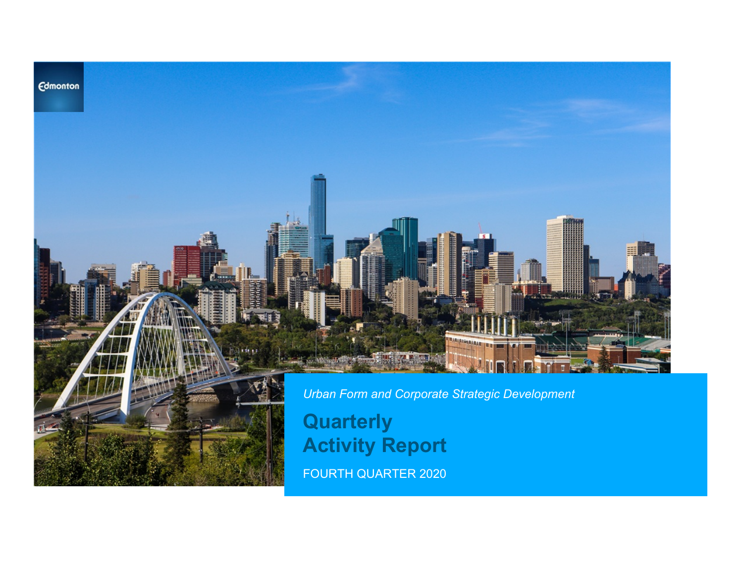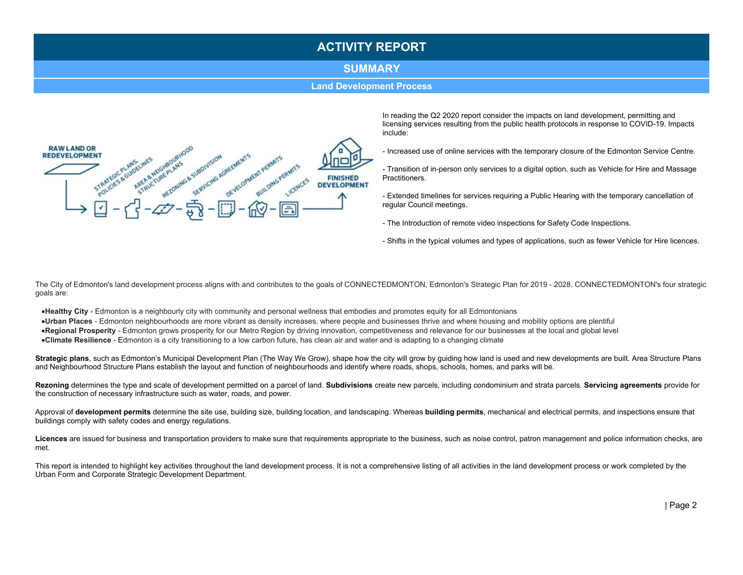#### SUMMARY

**Land Development Process** 



In reading the Q2 2020 report consider the impacts on land development, permitting and licensing services resulting from the public health protocols in response to COVID-19. Impacts include:

- Increased use of online services with the temporary closure of the Edmonton Service Centre.
- Transition of in-person only services to a digital option, such as Vehicle for Hire and Massage Practitioners.
- Extended timelines for services requiring a Public Hearing with the temporary cancellation of regular Council meetings.
- The Introduction of remote video inspections for Safety Code Inspections.
- Shifts in the typical volumes and types of applications, such as fewer Vehicle for Hire licences.

The City of Edmonton's land development process aligns with and contributes to the goals of CONNECTEDMONTON, Edmonton's Strategic Plan for 2019 - 2028. CONNECTEDMONTON's four strategic goals are:

•Healthy City - Edmonton is a neighbourly city with community and personal wellness that embodies and promotes equity for all Edmontonians

·Urban Places - Edmonton neighbourhoods are more vibrant as density increases, where people and businesses thrive and where housing and mobility options are plentiful •Regional Prosperity - Edmonton grows prosperity for our Metro Region by driving innovation, competitiveness and relevance for our businesses at the local and global level

•Climate Resilience - Edmonton is a city transitioning to a low carbon future, has clean air and water and is adapting to a changing climate

Strategic plans, such as Edmonton's Municipal Development Plan (The Way We Grow), shape how the city will grow by guiding how land is used and new developments are built. Area Structure Plans and Neighbourhood Structure Plans establish the layout and function of neighbourhoods and identify where roads, shops, schools, homes, and parks will be.

Rezoning determines the type and scale of development permitted on a parcel of land. Subdivisions create new parcels, including condominium and strata parcels. Servicing agreements provide for the construction of necessary infrastructure such as water, roads, and power.

Approval of development permits determine the site use, building size, building location, and landscaping. Whereas building permits, mechanical and electrical permits, and inspections ensure that buildings comply with safety codes and energy regulations.

Licences are issued for business and transportation providers to make sure that requirements appropriate to the business, such as noise control, patron management and police information checks, are met.

This report is intended to highlight key activities throughout the land development process. It is not a comprehensive listing of all activities in the land development process or work completed by the Urban Form and Corporate Strategic Development Department.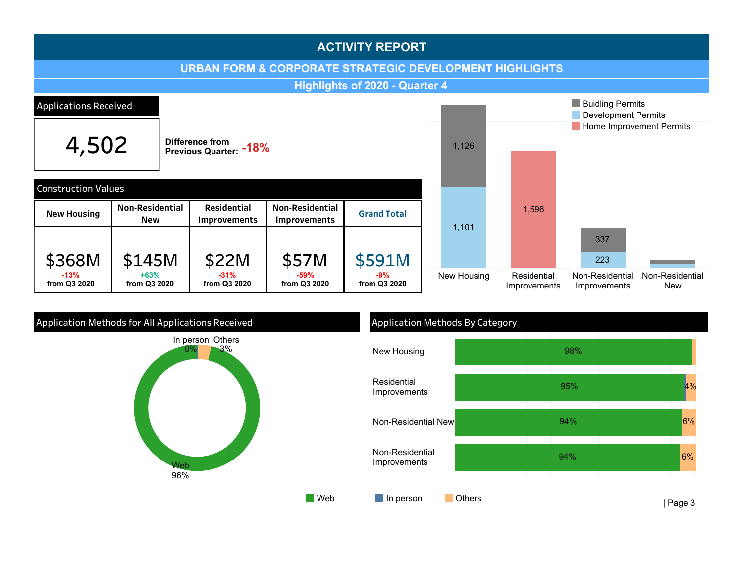

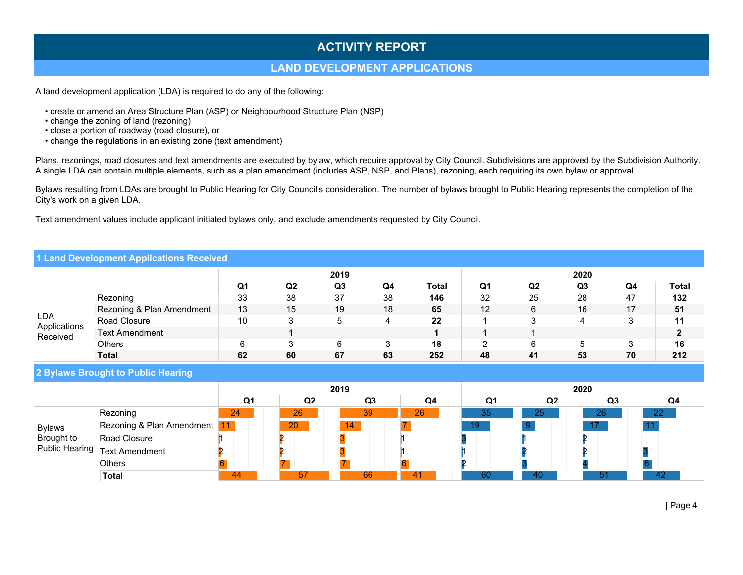#### LAND DEVELOPMENT APPLICATIONS

A land development application (LDA) is required to do any of the following:

- create or amend an Area Structure Plan (ASP) or Neighbourhood Structure Plan (NSP)
- change the zoning of land (rezoning)
- close a portion of roadway (road closure), or
- change the regulations in an existing zone (text amendment)

Plans, rezonings, road closures and text amendments are executed by bylaw, which require approval by City Council. Subdivisions are approved by the Subdivision Authority. A single LDA can contain multiple elements, such as a plan amendment (includes ASP, NSP, and Plans), rezoning, each requiring its own bylaw or approval.

Bylaws resulting from LDAs are brought to Public Hearing for City Council's consideration. The number of bylaws brought to Public Hearing represents the completion of the City's work on a given LDA.

Text amendment values include applicant initiated bylaws only, and exclude amendments requested by City Council.

#### 1 Land Development Applications Received

|                            |                           |                |                | 2019           |    |       |    |                | 2020           |    |       |
|----------------------------|---------------------------|----------------|----------------|----------------|----|-------|----|----------------|----------------|----|-------|
|                            |                           | Q <sub>1</sub> | Q <sub>2</sub> | Q <sub>3</sub> | Q4 | Total | Q1 | Q <sub>2</sub> | Q <sub>3</sub> | Q4 | Total |
|                            | Rezoning                  | 33             | 38             | 37             | 38 | 146   | 32 | 25             | 28             | 47 | 132   |
|                            | Rezoning & Plan Amendment | 13             | 15             | 19             | 18 | 65    | 12 | 6              | 16             | 17 | 51    |
| <b>LDA</b><br>Applications | Road Closure              | 10             | З              | 5              | 4  | 22    |    |                | 4              |    | 11    |
| Received                   | <b>Text Amendment</b>     |                |                |                |    |       |    |                |                |    |       |
|                            | Others                    |                |                | 6              | υ  | 18    |    | 6              |                |    | 16    |
|                            | <b>Total</b>              | 62             | 60             | 67             | 63 | 252   | 48 | 41             | 53             | 70 | 212   |

2 Bylaws Brought to Public Hearing

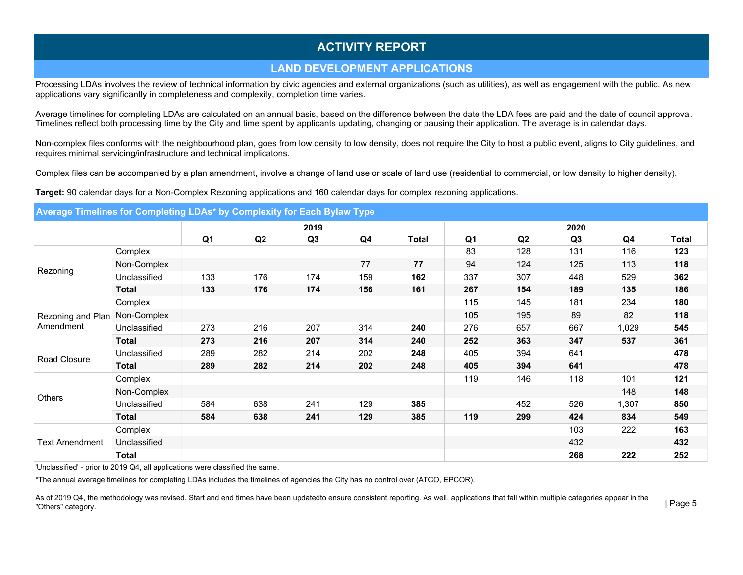## LAND DEVELOPMENT APPLICATIONS

Processing LDAs involves the review of technical information by civic agencies and external organizations (such as utilities), as well as engagement with the public. As new applications vary significantly in completeness and complexity, completion time varies.

Average timelines for completing LDAs are calculated on an annual basis, based on the difference between the date the LDA fees are paid and the date of council approval. Timelines reflect both processing time by the City and time spent by applicants updating, changing or pausing their application. The average is in calendar days.

Non-complex files conforms with the neighbourhood plan, goes from low density to low density, does not require the City to host a public event, aligns to City guidelines, and requires minimal servicing/infrastructure and technical implicatons.

Complex files can be accompanied by a plan amendment, involve a change of land use or scale of land use (residential to commercial, or low density to higher density).

Target: 90 calendar days for a Non-Complex Rezoning applications and 160 calendar days for complex rezoning applications.

#### Average Timelines for Completing LDAs\* by Complexity for Each Bylaw Type

|                       |              |                |     | 2019           |     |              |                |                | 2020           |       |              |
|-----------------------|--------------|----------------|-----|----------------|-----|--------------|----------------|----------------|----------------|-------|--------------|
|                       |              | Q <sub>1</sub> | Q2  | Q <sub>3</sub> | Q4  | <b>Total</b> | Q <sub>1</sub> | Q <sub>2</sub> | Q <sub>3</sub> | Q4    | <b>Total</b> |
|                       | Complex      |                |     |                |     |              | 83             | 128            | 131            | 116   | 123          |
|                       | Non-Complex  |                |     |                | 77  | 77           | 94             | 124            | 125            | 113   | 118          |
| Rezoning              | Unclassified | 133            | 176 | 174            | 159 | 162          | 337            | 307            | 448            | 529   | 362          |
|                       | <b>Total</b> | 133            | 176 | 174            | 156 | 161          | 267            | 154            | 189            | 135   | 186          |
|                       | Complex      |                |     |                |     |              | 115            | 145            | 181            | 234   | 180          |
| Rezoning and Plan     | Non-Complex  |                |     |                |     |              | 105            | 195            | 89             | 82    | 118          |
| Amendment             | Unclassified | 273            | 216 | 207            | 314 | 240          | 276            | 657            | 667            | 1,029 | 545          |
|                       | <b>Total</b> | 273            | 216 | 207            | 314 | 240          | 252            | 363            | 347            | 537   | 361          |
| Road Closure          | Unclassified | 289            | 282 | 214            | 202 | 248          | 405            | 394            | 641            |       | 478          |
|                       | <b>Total</b> | 289            | 282 | 214            | 202 | 248          | 405            | 394            | 641            |       | 478          |
|                       | Complex      |                |     |                |     |              | 119            | 146            | 118            | 101   | 121          |
|                       | Non-Complex  |                |     |                |     |              |                |                |                | 148   | 148          |
| Others                | Unclassified | 584            | 638 | 241            | 129 | 385          |                | 452            | 526            | 1,307 | 850          |
|                       | <b>Total</b> | 584            | 638 | 241            | 129 | 385          | 119            | 299            | 424            | 834   | 549          |
|                       | Complex      |                |     |                |     |              |                |                | 103            | 222   | 163          |
| <b>Text Amendment</b> | Unclassified |                |     |                |     |              |                |                | 432            |       | 432          |
|                       | Total        |                |     |                |     |              |                |                | 268            | 222   | 252          |

'Unclassified' - prior to 2019 Q4, all applications were classified the same.

\*The annual average timelines for completing LDAs includes the timelines of agencies the City has no control over (ATCO, EPCOR).

As of 2019 Q4, the methodology was revised. Start and end times have been updatedto ensure consistent reporting. As well, applications that fall within multiple categories appear in the "Others" category.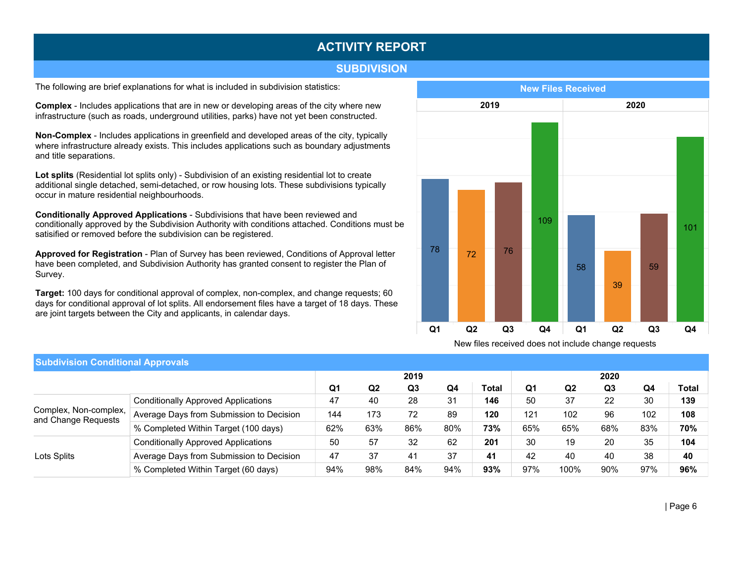#### **SUBDIVISION**

The following are brief explanations for what is included in subdivision statistics:

**Complex** - Includes applications that are in new or developing areas of the city where new infrastructure (such as roads, underground utilities, parks) have not yet been constructed.

Non-Complex - Includes applications in greenfield and developed areas of the city, typically where infrastructure already exists. This includes applications such as boundary adjustments and title separations.

Lot splits (Residential lot splits only) - Subdivision of an existing residential lot to create additional single detached, semi-detached, or row housing lots. These subdivisions typically occur in mature residential neighbourhoods.

Conditionally Approved Applications - Subdivisions that have been reviewed and conditionally approved by the Subdivision Authority with conditions attached. Conditions must be satisified or removed before the subdivision can be registered.

Approved for Registration - Plan of Survey has been reviewed, Conditions of Approval letter have been completed, and Subdivision Authority has granted consent to register the Plan of Survey.

Target: 100 days for conditional approval of complex, non-complex, and change requests; 60 days for conditional approval of lot splits. All endorsement files have a target of 18 days. These are joint targets between the City and applicants, in calendar days.



New files received does not include change requests

| <b>Subdivision Conditional Approvals</b>     |                                            |                |                |                |     |       |     |                |      |     |              |
|----------------------------------------------|--------------------------------------------|----------------|----------------|----------------|-----|-------|-----|----------------|------|-----|--------------|
|                                              |                                            |                |                | 2019           |     |       |     |                | 2020 |     |              |
|                                              |                                            | Q <sub>1</sub> | Q <sub>2</sub> | Q <sub>3</sub> | Q4  | Total | Q1  | Q <sub>2</sub> | Q3   | Q4  | <b>Total</b> |
|                                              | <b>Conditionally Approved Applications</b> | 47             | 40             | 28             | 31  | 146   | 50  | 37             | 22   | 30  | 139          |
| Complex, Non-complex,<br>and Change Requests | Average Days from Submission to Decision   | 144            | 173            | 72             | 89  | 120   | 121 | 102            | 96   | 102 | 108          |
|                                              | % Completed Within Target (100 days)       | 62%            | 63%            | 86%            | 80% | 73%   | 65% | 65%            | 68%  | 83% | 70%          |
|                                              | <b>Conditionally Approved Applications</b> | 50             | 57             | 32             | 62  | 201   | 30  | 19             | 20   | 35  | 104          |
| Lots Splits                                  | Average Days from Submission to Decision   | 47             | 37             | 41             | 37  | 41    | 42  | 40             | 40   | 38  | 40           |
|                                              | % Completed Within Target (60 days)        | 94%            | 98%            | 84%            | 94% | 93%   | 97% | 100%           | 90%  | 97% | 96%          |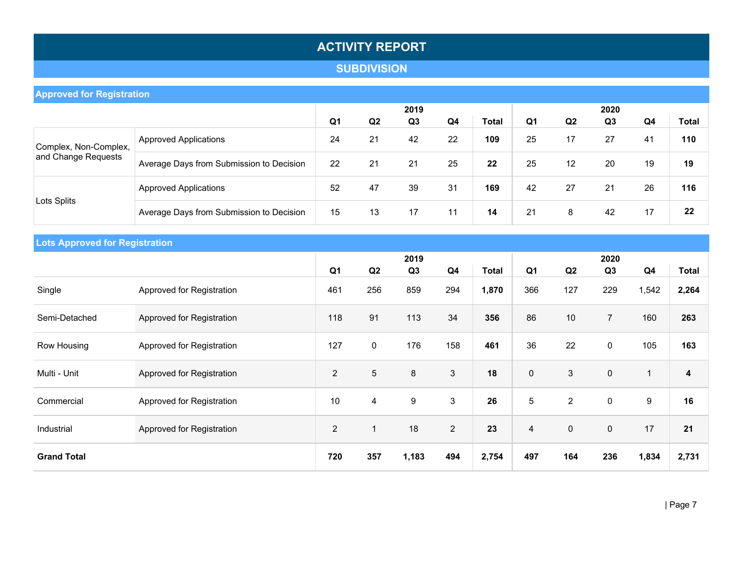## **SUBDIVISION**

| <b>Approved for Registration</b> |                                          |    |                |                |    |       |                |                |                |                            |              |
|----------------------------------|------------------------------------------|----|----------------|----------------|----|-------|----------------|----------------|----------------|----------------------------|--------------|
|                                  |                                          |    |                | 2019           |    |       |                |                | 2020           |                            |              |
|                                  |                                          | Q1 | Q <sub>2</sub> | Q <sub>3</sub> | Q4 | Total | Q <sub>1</sub> | Q <sub>2</sub> | Q <sub>3</sub> | Q4                         | <b>Total</b> |
| Complex, Non-Complex,            | <b>Approved Applications</b>             | 24 | 21             | 42             | 22 | 109   | 25             | 17             | 27             | 41                         | 110          |
| and Change Requests              | Average Days from Submission to Decision | 22 | 21             | 21             | 25 | 22    | 25             | 12             | 20             | 19<br>21<br>26<br>17<br>42 | 19           |
|                                  | <b>Approved Applications</b>             | 52 | 47             | 39             | 31 | 169   | 42             | 27             |                |                            | 116          |
| Lots Splits                      | Average Days from Submission to Decision | 15 | 13             | 17             | 11 | 14    | 21             | 8              |                |                            | 22           |

| <b>Lots Approved for Registration</b> |                           |                |                |       |                |              |                |                |                |                |                         |
|---------------------------------------|---------------------------|----------------|----------------|-------|----------------|--------------|----------------|----------------|----------------|----------------|-------------------------|
|                                       |                           |                |                | 2019  |                |              |                |                | 2020           |                |                         |
|                                       |                           | Q <sub>1</sub> | Q2             | Q3    | Q <sub>4</sub> | <b>Total</b> | Q <sub>1</sub> | Q2             | Q <sub>3</sub> | Q <sub>4</sub> | <b>Total</b>            |
| Single                                | Approved for Registration | 461            | 256            | 859   | 294            | 1,870        | 366            | 127            | 229            | 1,542          | 2,264                   |
| Semi-Detached                         | Approved for Registration | 118            | 91             | 113   | 34             | 356          | 86             | 10             | $\overline{7}$ | 160            | 263                     |
| Row Housing                           | Approved for Registration | 127            | $\pmb{0}$      | 176   | 158            | 461          | 36             | 22             | $\mathbf 0$    | 105            | 163                     |
| Multi - Unit                          | Approved for Registration | $\overline{2}$ | 5              | 8     | $\mathfrak{S}$ | 18           | $\mathbf 0$    | 3              | $\mathbf 0$    | 1              | $\overline{\mathbf{4}}$ |
| Commercial                            | Approved for Registration | 10             | $\overline{4}$ | 9     | 3              | 26           | 5              | $\overline{2}$ | $\mathbf 0$    | 9              | 16                      |
| Industrial                            | Approved for Registration | $\overline{2}$ | $\overline{1}$ | 18    | $\overline{2}$ | 23           | $\overline{4}$ | $\mathbf 0$    | $\mathbf 0$    | 17             | 21                      |
| <b>Grand Total</b>                    |                           | 720            | 357            | 1,183 | 494            | 2,754        | 497            | 164            | 236            | 1,834          | 2,731                   |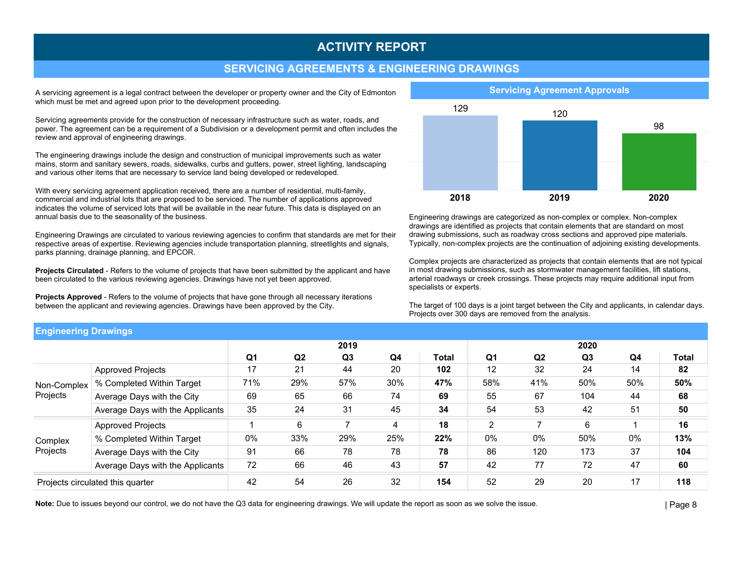#### SERVICING AGREEMENTS & ENGINEERING DRAWINGS

A servicing agreement is a legal contract between the developer or property owner and the City of Edmonton which must be met and agreed upon prior to the development proceeding.

Servicing agreements provide for the construction of necessary infrastructure such as water, roads, and power. The agreement can be a requirement of a Subdivision or a development permit and often includes the review and approval of engineering drawings.

The engineering drawings include the design and construction of municipal improvements such as water mains, storm and sanitary sewers, roads, sidewalks, curbs and gutters, power, street lighting, landscaping and various other items that are necessary to service land being developed or redeveloped.

With every servicing agreement application received, there are a number of residential, multi-family, commercial and industrial lots that are proposed to be serviced. The number of applications approved indicates the volume of serviced lots that will be available in the near future. This data is displayed on an annual basis due to the seasonality of the business.

Engineering Drawings are circulated to various reviewing agencies to confirm that standards are met for their respective areas of expertise. Reviewing agencies include transportation planning, streetlights and signals, parks planning, drainage planning, and EPCOR.

Projects Circulated - Refers to the volume of projects that have been submitted by the applicant and have been circulated to the various reviewing agencies. Drawings have not yet been approved.

Projects Approved - Refers to the volume of projects that have gone through all necessary iterations between the applicant and reviewing agencies. Drawings have been approved by the City.



Engineering drawings are categorized as non-complex or complex. Non-complex drawings are identified as projects that contain elements that are standard on most drawing submissions, such as roadway cross sections and approved pipe materials. Typically, non-complex projects are the continuation of adjoining existing developments.

Complex projects are characterized as projects that contain elements that are not typical in most drawing submissions, such as stormwater management facilities, lift stations, arterial roadways or creek crossings. These projects may require additional input from specialists or experts.

The target of 100 days is a joint target between the City and applicants, in calendar days. Projects over 300 days are removed from the analysis.

| <b>Engineering Drawings</b>      |                                  |     |                |                |     |       |                |                |                |     |       |
|----------------------------------|----------------------------------|-----|----------------|----------------|-----|-------|----------------|----------------|----------------|-----|-------|
|                                  |                                  |     |                | 2019           |     |       |                |                | 2020           |     |       |
|                                  |                                  | Q1  | Q <sub>2</sub> | Q <sub>3</sub> | Q4  | Total | Q1             | Q <sub>2</sub> | Q <sub>3</sub> | Q4  | Total |
|                                  | <b>Approved Projects</b>         | 17  | 21             | 44             | 20  | 102   | 12             | 32             | 24             | 14  | 82    |
| Non-Complex                      | % Completed Within Target        | 71% | 29%            | 57%            | 30% | 47%   | 58%            | 41%            | 50%            | 50% | 50%   |
| Projects                         | Average Days with the City       | 69  | 65             | 66             | 74  | 69    | 55             | 67             | 104            | 44  | 68    |
|                                  | Average Days with the Applicants | 35  | 24             | 31             | 45  | 34    | 54             | 53             | 42             | 51  | 50    |
|                                  | <b>Approved Projects</b>         |     | 6              | 7              | 4   | 18    | $\overline{2}$ |                | 6              |     | 16    |
| Complex                          | % Completed Within Target        | 0%  | 33%            | 29%            | 25% | 22%   | 0%             | 0%             | 50%            | 0%  | 13%   |
| Projects                         | Average Days with the City       | 91  | 66             | 78             | 78  | 78    | 86             | 120            | 173            | 37  | 104   |
|                                  | Average Days with the Applicants | 72  | 66             | 46             | 43  | 57    | 42             | 77             | 72             | 47  | 60    |
| Projects circulated this quarter |                                  | 42  | 54             | 26             | 32  | 154   | 52             | 29             | 20             | 17  | 118   |

Note: Due to issues beyond our control, we do not have the Q3 data for engineering drawings. We will update the report as soon as we solve the issue.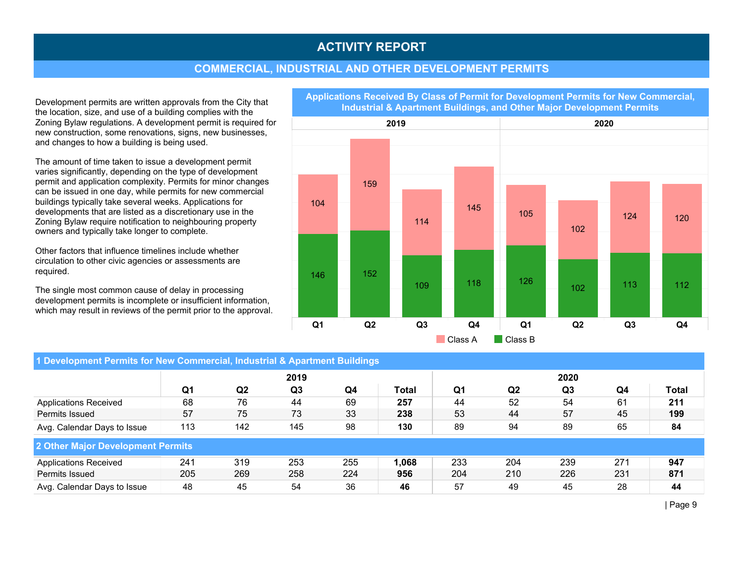#### COMMERCIAL, INDUSTRIAL AND OTHER DEVELOPMENT PERMITS

Development permits are written approvals from the City that the location, size, and use of a building complies with the Zoning Bylaw regulations. A development permit is required for new construction, some renovations, signs, new businesses, and changes to how a building is being used.

The amount of time taken to issue a development permit varies significantly, depending on the type of development permit and application complexity. Permits for minor changes can be issued in one day, while permits for new commercial buildings typically take several weeks. Applications for developments that are listed as a discretionary use in the Zoning Bylaw require notification to neighbouring property owners and typically take longer to complete.

Other factors that influence timelines include whether circulation to other civic agencies or assessments are required.

The single most common cause of delay in processing development permits is incomplete or insufficient information, which may result in reviews of the permit prior to the approval.

2019 2020 Q1 Q2 Q3 Q4 Q1 Q2 Q3 Q4 104 159 114 145 146 152 109 118 105 102 124 120 126  $102$   $\begin{array}{|c|c|c|c|c|} \hline \text{113} & \text{112} \ \hline \end{array}$ Class A **Class B** 

| 1 Development Permits for New Commercial, Industrial & Apartment Buildings |     |     |      |     |       |     |                |                |     |       |  |  |
|----------------------------------------------------------------------------|-----|-----|------|-----|-------|-----|----------------|----------------|-----|-------|--|--|
|                                                                            |     |     | 2019 |     |       |     |                | 2020           |     |       |  |  |
|                                                                            | Q1  | Q2  | Q3   | Q4  | Total | Q1  | Q <sub>2</sub> | Q <sub>3</sub> | Q4  | Total |  |  |
| <b>Applications Received</b>                                               | 68  | 76  | 44   | 69  | 257   | 44  | 52             | 54             | 61  | 211   |  |  |
| Permits Issued                                                             | 57  | 75  | 73   | 33  | 238   | 53  | 44             | 57             | 45  | 199   |  |  |
| Avg. Calendar Days to Issue                                                | 113 | 142 | 145  | 98  | 130   | 89  | 94             | 89             | 65  | 84    |  |  |
| 2 Other Major Development Permits                                          |     |     |      |     |       |     |                |                |     |       |  |  |
| <b>Applications Received</b>                                               | 241 | 319 | 253  | 255 | 1,068 | 233 | 204            | 239            | 271 | 947   |  |  |
| Permits Issued                                                             | 205 | 269 | 258  | 224 | 956   | 204 | 210            | 226            | 231 | 871   |  |  |
| Avg. Calendar Days to Issue                                                | 48  | 45  | 54   | 36  | 46    | 57  | 49             | 45             | 28  | 44    |  |  |

Applications Received By Class of Permit for Development Permits for New Commercial, Industrial & Apartment Buildings, and Other Major Development Permits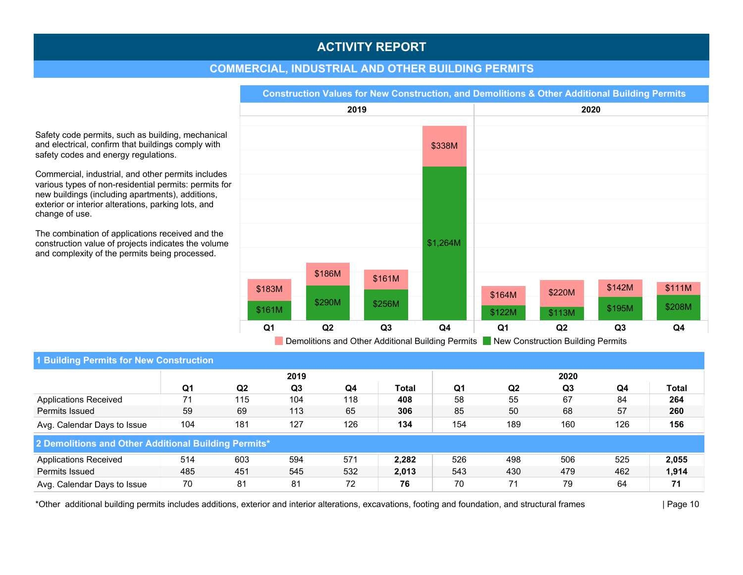### COMMERCIAL, INDUSTRIAL AND OTHER BUILDING PERMITS

Safety code permits, such as building, mechanical and electrical, confirm that buildings comply with safety codes and energy regulations.

Commercial, industrial, and other permits includes various types of non-residential permits: permits for new buildings (including apartments), additions, exterior or interior alterations, parking lots, and change of use.

The combination of applications received and the construction value of projects indicates the volume and complexity of the permits being processed.



| 1 Building Permits for New Construction              |     |                |      |     |       |     |                |      |     |       |  |  |
|------------------------------------------------------|-----|----------------|------|-----|-------|-----|----------------|------|-----|-------|--|--|
|                                                      |     |                | 2019 |     |       |     |                | 2020 |     |       |  |  |
|                                                      | Q1  | Q <sub>2</sub> | Q3   | Q4  | Total | Q1  | Q <sub>2</sub> | Q3   | Q4  | Total |  |  |
| <b>Applications Received</b>                         | 71  | 115            | 104  | 118 | 408   | 58  | 55             | 67   | 84  | 264   |  |  |
| Permits Issued                                       | 59  | 69             | 113  | 65  | 306   | 85  | 50             | 68   | 57  | 260   |  |  |
| Avg. Calendar Days to Issue                          | 104 | 181            | 127  | 126 | 134   | 154 | 189            | 160  | 126 | 156   |  |  |
| 2 Demolitions and Other Additional Building Permits* |     |                |      |     |       |     |                |      |     |       |  |  |
| <b>Applications Received</b>                         | 514 | 603            | 594  | 571 | 2.282 | 526 | 498            | 506  | 525 | 2,055 |  |  |
| Permits Issued                                       | 485 | 451            | 545  | 532 | 2,013 | 543 | 430            | 479  | 462 | 1,914 |  |  |
| Avg. Calendar Days to Issue                          | 70  | 81             | 81   | 72  | 76    | 70  | 71             | 79   | 64  | 71    |  |  |

\*Other additional building permits includes additions, exterior and interior alterations, excavations, footing and foundation, and structural frames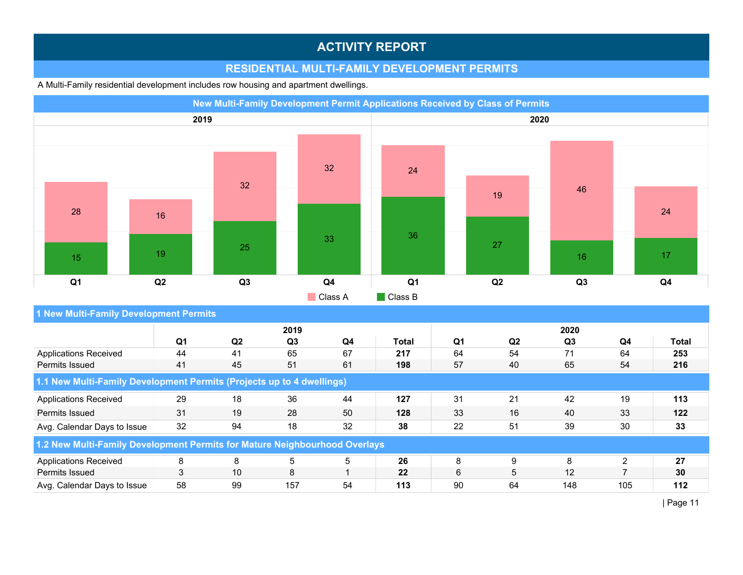## RESIDENTIAL MULTI-FAMILY DEVELOPMENT PERMITS

A Multi-Family residential development includes row housing and apartment dwellings.

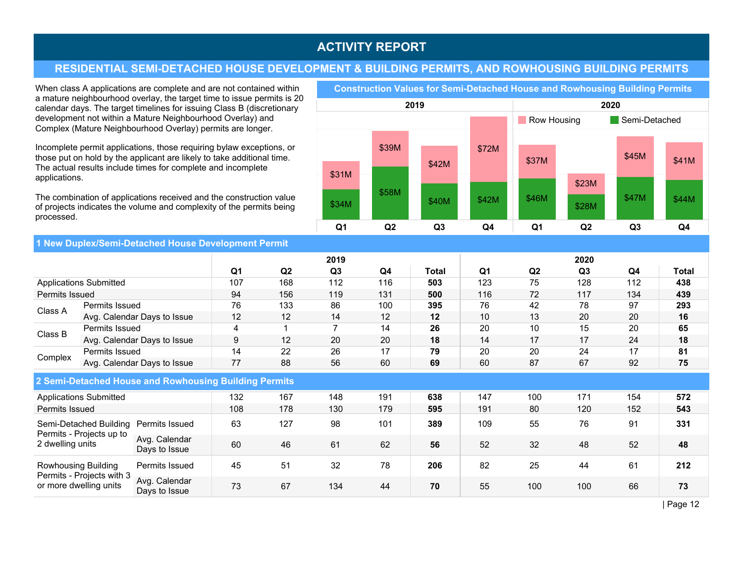## RESIDENTIAL SEMI-DETACHED HOUSE DEVELOPMENT & BUILDING PERMITS, AND ROWHOUSING BUILDING PERMITS

When class A applications are complete and are not contained within a mature neighbourhood overlay, the target time to issue permits is 20 calendar days. The target timelines for issuing Class B (discretionary development not within a Mature Neighbourhood Overlay) and Complex (Mature Neighbourhood Overlay) permits are longer.

Incomplete permit applications, those requiring bylaw exceptions, or those put on hold by the applicant are likely to take additional time. The actual results include times for complete and incomplete applications.

The combination of applications received and the construction value of projects indicates the volume and complexity of the permits being processed.

Construction Values for Semi-Detached House and Rowhousing Building Permits

![](_page_11_Figure_6.jpeg)

1 New Duplex/Semi-Detached House Development Permit

|                  |                                                     | الخافاة والمتحاف والمتحافظة والمتحال والمتحاف المتحاف والمتحاف المتحاف المتحافظ المتحافظ والمتحافظ فالتستان المتحاف |                |     |                |     |       |                |                |      |     |       |
|------------------|-----------------------------------------------------|---------------------------------------------------------------------------------------------------------------------|----------------|-----|----------------|-----|-------|----------------|----------------|------|-----|-------|
|                  |                                                     |                                                                                                                     |                |     | 2019           |     |       |                |                | 2020 |     |       |
|                  |                                                     |                                                                                                                     | Q <sub>1</sub> | Q2  | Q <sub>3</sub> | Q4  | Total | Q <sub>1</sub> | Q <sub>2</sub> | Q3   | Q4  | Total |
|                  | <b>Applications Submitted</b>                       |                                                                                                                     | 107            | 168 | 112            | 116 | 503   | 123            | 75             | 128  | 112 | 438   |
| Permits Issued   |                                                     |                                                                                                                     | 94             | 156 | 119            | 131 | 500   | 116            | 72             | 117  | 134 | 439   |
| Class A          | Permits Issued                                      |                                                                                                                     | 76             | 133 | 86             | 100 | 395   | 76             | 42             | 78   | 97  | 293   |
|                  |                                                     | Avg. Calendar Days to Issue                                                                                         | 12             | 12  | 14             | 12  | 12    | 10             | 13             | 20   | 20  | 16    |
| Class B          | Permits Issued                                      |                                                                                                                     | 4              |     |                | 14  | 26    | 20             | 10             | 15   | 20  | 65    |
|                  |                                                     | Avg. Calendar Days to Issue                                                                                         | 9              | 12  | 20             | 20  | 18    | 14             | 17             | 17   | 24  | 18    |
|                  | Permits Issued                                      |                                                                                                                     | 14             | 22  | 26             | 17  | 79    | 20             | 20             | 24   | 17  | 81    |
| Complex          |                                                     | Avg. Calendar Days to Issue                                                                                         | 77             | 88  | 56             | 60  | 69    | 60             | 87             | 67   | 92  | 75    |
|                  |                                                     | 2 Semi-Detached House and Rowhousing Building Permits                                                               |                |     |                |     |       |                |                |      |     |       |
|                  | <b>Applications Submitted</b>                       |                                                                                                                     | 132            | 167 | 148            | 191 | 638   | 147            | 100            | 171  | 154 | 572   |
| Permits Issued   |                                                     |                                                                                                                     | 108            | 178 | 130            | 179 | 595   | 191            | 80             | 120  | 152 | 543   |
|                  | Semi-Detached Building<br>Permits - Projects up to  | Permits Issued                                                                                                      | 63             | 127 | 98             | 101 | 389   | 109            | 55             | 76   | 91  | 331   |
| 2 dwelling units |                                                     | Avg. Calendar<br>Days to Issue                                                                                      | 60             | 46  | 61             | 62  | 56    | 52             | 32             | 48   | 52  | 48    |
|                  | <b>Rowhousing Building</b>                          | Permits Issued                                                                                                      | 45             | 51  | 32             | 78  | 206   | 82             | 25             | 44   | 61  | 212   |
|                  | Permits - Projects with 3<br>or more dwelling units | Avg. Calendar<br>Days to Issue                                                                                      | 73             | 67  | 134            | 44  | 70    | 55             | 100            | 100  | 66  | 73    |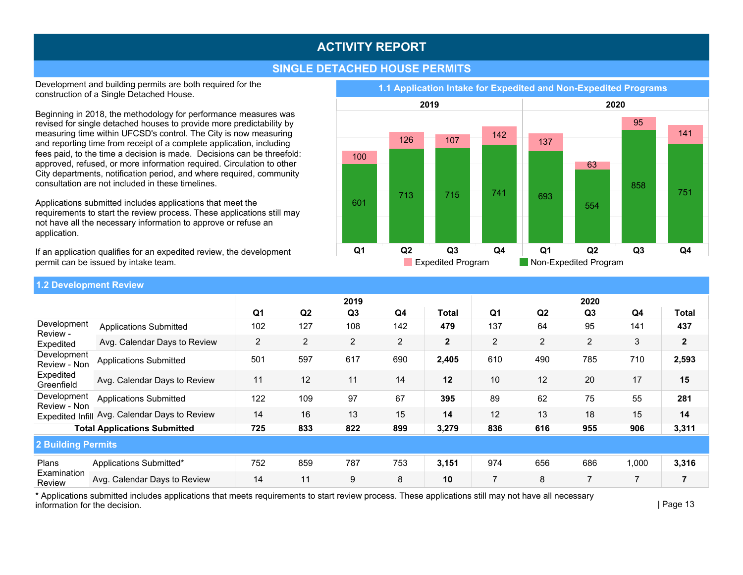## SINGLE DETACHED HOUSE PERMITS

Development and building permits are both required for the construction of a Single Detached House.

Beginning in 2018, the methodology for performance measures was revised for single detached houses to provide more predictability by measuring time within UFCSD's control. The City is now measuring and reporting time from receipt of a complete application, including fees paid, to the time a decision is made. Decisions can be threefold: approved, refused, or more information required. Circulation to other City departments, notification period, and where required, community consultation are not included in these timelines.

Applications submitted includes applications that meet the requirements to start the review process. These applications still may not have all the necessary information to approve or refuse an application.

If an application qualifies for an expedited review, the development permit can be issued by intake team.

Development Review-Non Expedited Greenfield **Applications Submitted** Avg. Calendar Days to Review 11 12 11 12 14 12 2,405 2,593 Plans Examination Review Applications Submitted\* Avg. Calendar Days to Review 14 11 9 8 10 3,151 3,316 1,000 2 Building Permits Q1 Q2 Q3 Q4 Total Q1 Q2 Q3 Q4 Total Development Review-Expedited Applications Submitted Avg. Calendar Days to Review 2 2 2 2 2 2 1.2 Development Review Development Review-Non Expedited Infill Avg. Calendar Days to Review | 14 16 13 13 15 | 14 **Applications Submitted**  TotalApplicationsSubmitted 725 833 822 899 3,279 836 616 955 906 3,311

\* Applications submitted includes applications that meets requirements to start review process. These applications still may not have all necessary information for the decision.

1.1 Application Intake for Expedited and Non-Expedited Programs

![](_page_12_Figure_9.jpeg)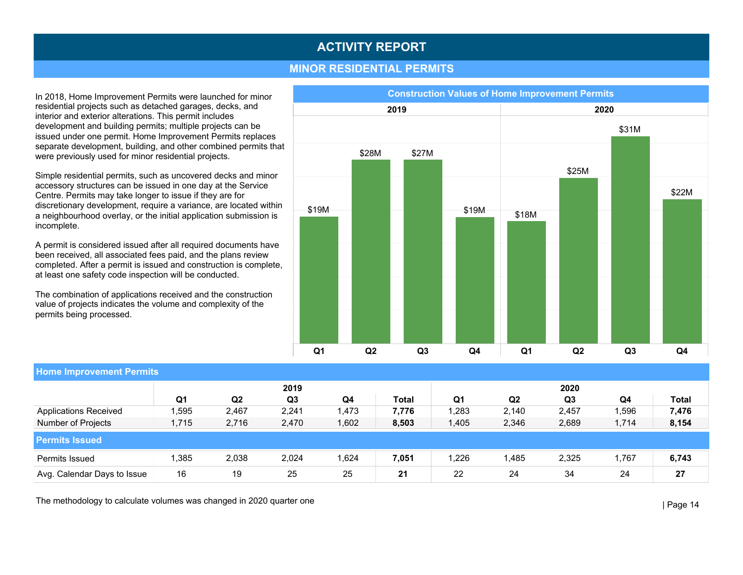#### **MINOR RESIDENTIAL PERMITS**

In 2018, Home Improvement Permits were launched for minor residential projects such as detached garages, decks, and interior and exterior alterations. This permit includes development and building permits; multiple projects can be issued under one permit. Home Improvement Permits replaces separate development, building, and other combined permits that were previously used for minor residential projects.

Simple residential permits, such as uncovered decks and minor accessory structures can be issued in one day at the Service Centre. Permits may take longer to issue if they are for discretionary development, require a variance, are located within a neighbourhood overlay, or the initial application submission is incomplete.

A permit is considered issued after all required documents have been received, all associated fees paid, and the plans review completed. After a permit is issued and construction is complete, at least one safety code inspection will be conducted.

The combination of applications received and the construction value of projects indicates the volume and complexity of the permits being processed.

![](_page_13_Figure_6.jpeg)

| <b>Home Improvement Permits</b> |       |                |                |        |       |         |                |                |       |       |  |  |  |
|---------------------------------|-------|----------------|----------------|--------|-------|---------|----------------|----------------|-------|-------|--|--|--|
|                                 |       |                | 2019           |        |       |         |                | 2020           |       |       |  |  |  |
|                                 | Q1    | Q <sub>2</sub> | Q <sub>3</sub> | Q4     | Total | Q1      | Q <sub>2</sub> | Q <sub>3</sub> | Q4    | Total |  |  |  |
| <b>Applications Received</b>    | ,595  | 2,467          | 2,241          | 1,473  | 7,776 | ,283    | 2,140          | 2,457          | ,596  | 7,476 |  |  |  |
| Number of Projects              | 1,715 | 2,716          | 2,470          | 1,602  | 8,503 | .405, ا | 2,346          | 2,689          | 1,714 | 8,154 |  |  |  |
| <b>Permits Issued</b>           |       |                |                |        |       |         |                |                |       |       |  |  |  |
| Permits Issued                  | .385  | 2,038          | 2,024          | 624. ا | 7,051 | ,226    | .485           | 2,325          | .767  | 6,743 |  |  |  |
| Avg. Calendar Days to Issue     | 16    | 19             | 25             | 25     | 21    | 22      | 24             | 34             | 24    | 27    |  |  |  |

The methodology to calculate volumes was changed in 2020 quarter one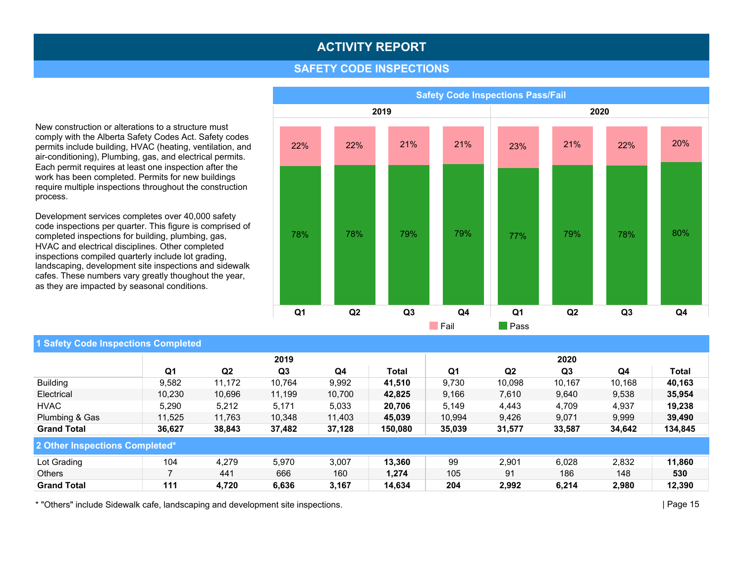#### **SAFETY CODE INSPECTIONS**

New construction or alterations to a structure must comply with the Alberta Safety Codes Act. Safety codes permits include building, HVAC (heating, ventilation, and air-conditioning), Plumbing, gas, and electrical permits. Each permit requires at least one inspection after the work has been completed. Permits for new buildings require multiple inspections throughout the construction process.

Development services completes over 40,000 safety code inspections per quarter. This figure is comprised of completed inspections for building, plumbing, gas, HVAC and electrical disciplines. Other completed inspections compiled quarterly include lot grading, landscaping, development site inspections and sidewalk cafes. These numbers vary greatly thoughout the year, as they are impacted by seasonal conditions.

![](_page_14_Figure_4.jpeg)

#### 1 Safety Code Inspections Completed

|                                |                |                | 2019   |        |         |        |        | 2020   |        |         |
|--------------------------------|----------------|----------------|--------|--------|---------|--------|--------|--------|--------|---------|
|                                | Q <sub>1</sub> | Q <sub>2</sub> | Q3     | Q4     | Total   | Q1     | Q2     | Q3     | Q4     | Total   |
| <b>Building</b>                | 9,582          | 11.172         | 10.764 | 9,992  | 41,510  | 9,730  | 10,098 | 10,167 | 10,168 | 40,163  |
| Electrical                     | 10,230         | 10,696         | 11,199 | 10.700 | 42,825  | 9,166  | 7,610  | 9,640  | 9,538  | 35,954  |
| <b>HVAC</b>                    | 5,290          | 5,212          | 5.171  | 5.033  | 20.706  | 5,149  | 4,443  | 4,709  | 4,937  | 19.238  |
| Plumbing & Gas                 | 11,525         | 11.763         | 10,348 | 11,403 | 45,039  | 10,994 | 9,426  | 9,071  | 9,999  | 39,490  |
| <b>Grand Total</b>             | 36,627         | 38,843         | 37,482 | 37,128 | 150,080 | 35,039 | 31,577 | 33,587 | 34,642 | 134,845 |
| 2 Other Inspections Completed* |                |                |        |        |         |        |        |        |        |         |
| Lot Grading                    | 104            | 4.279          | 5,970  | 3.007  | 13.360  | 99     | 2,901  | 6,028  | 2,832  | 11.860  |
| <b>Others</b>                  |                | 441            | 666    | 160    | 1,274   | 105    | 91     | 186    | 148    | 530     |
| <b>Grand Total</b>             | 111            | 4,720          | 6,636  | 3,167  | 14,634  | 204    | 2,992  | 6,214  | 2,980  | 12,390  |

\* "Others" include Sidewalk cafe, landscaping and development site inspections.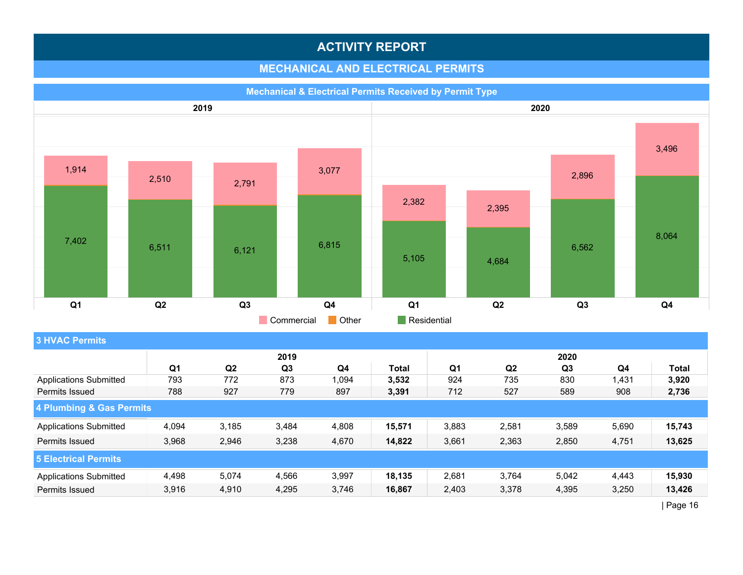## **MECHANICAL AND ELECTRICAL PERMITS**

![](_page_15_Figure_2.jpeg)

## **3 HVAC Permits**

|                               |                |                | 2019  |       |        |                |                | 2020  |       |        |
|-------------------------------|----------------|----------------|-------|-------|--------|----------------|----------------|-------|-------|--------|
|                               | Q <sub>1</sub> | Q <sub>2</sub> | Q3    | Q4    | Total  | Q <sub>1</sub> | Q <sub>2</sub> | Q3    | Q4    | Total  |
| <b>Applications Submitted</b> | 793            | 772            | 873   | 1,094 | 3,532  | 924            | 735            | 830   | 1,431 | 3,920  |
| Permits Issued                | 788            | 927            | 779   | 897   | 3,391  | 712            | 527            | 589   | 908   | 2,736  |
| 4 Plumbing & Gas Permits      |                |                |       |       |        |                |                |       |       |        |
| <b>Applications Submitted</b> | 4,094          | 3,185          | 3,484 | 4,808 | 15,571 | 3,883          | 2,581          | 3,589 | 5,690 | 15,743 |
| Permits Issued                | 3,968          | 2,946          | 3,238 | 4,670 | 14,822 | 3,661          | 2,363          | 2,850 | 4,751 | 13,625 |
| <b>5 Electrical Permits</b>   |                |                |       |       |        |                |                |       |       |        |
| <b>Applications Submitted</b> | 4,498          | 5.074          | 4,566 | 3,997 | 18.135 | 2,681          | 3.764          | 5,042 | 4,443 | 15,930 |
| Permits Issued                | 3,916          | 4,910          | 4,295 | 3,746 | 16,867 | 2,403          | 3,378          | 4,395 | 3,250 | 13,426 |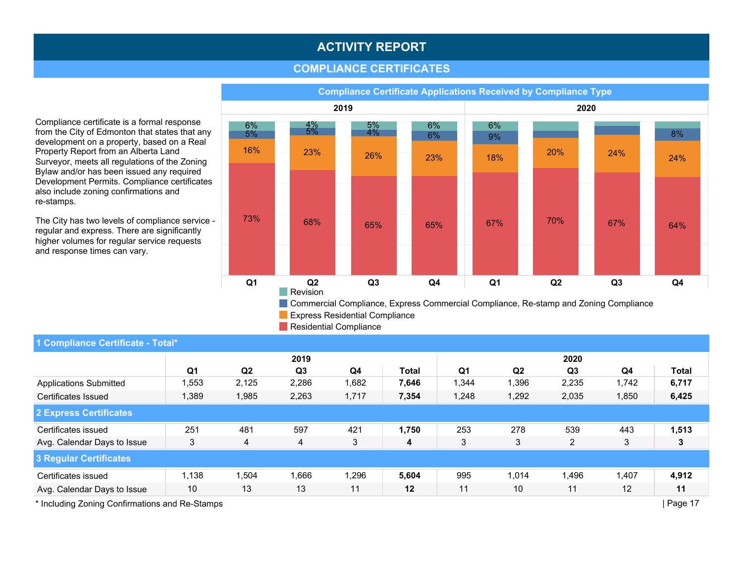### **COMPLIANCE CERTIFICATES**

2019 2020 Q1 Q2 Q3 Q4 Q1 Q2 Q3 Q4 16% 23% 26% 23% 73% 68% 65% 65% 6% 4% 5% 6%  $5\%$   $5\%$   $4\%$   $6\%$ 18%  $20\%$  24% 24% 24% 67% 70% 67% 64% 6% 9% 8% **Revision** Commercial Compliance, Express Commercial Compliance, Re-stamp and Zoning Compliance **Express Residential Compliance** 

Compliance Certificate Applications Received by Compliance Type

Residential Compliance

| 1 Compliance Certificate - Total* |                |                |                |       |              |                |                |                |       |              |  |
|-----------------------------------|----------------|----------------|----------------|-------|--------------|----------------|----------------|----------------|-------|--------------|--|
|                                   |                |                | 2019           |       |              | 2020           |                |                |       |              |  |
|                                   | Q <sub>1</sub> | Q <sub>2</sub> | Q <sub>3</sub> | Q4    | <b>Total</b> | Q <sub>1</sub> | Q <sub>2</sub> | Q <sub>3</sub> | Q4    | <b>Total</b> |  |
| <b>Applications Submitted</b>     | ,553           | 2,125          | 2,286          | 1,682 | 7,646        | 1,344          | 1,396          | 2,235          | 1,742 | 6,717        |  |
| Certificates Issued               | 1,389          | 1,985          | 2,263          | 1,717 | 7,354        | 1,248          | 1,292          | 2,035          | 1,850 | 6,425        |  |
| 2 Express Certificates            |                |                |                |       |              |                |                |                |       |              |  |
| Certificates issued               | 251            | 481            | 597            | 421   | 1,750        | 253            | 278            | 539            | 443   | 1,513        |  |
| Avg. Calendar Days to Issue       | 3              | 4              | 4              | 3     | 4            | 3              | 3              | $\overline{2}$ | 3     | 3            |  |
| 3 Regular Certificates            |                |                |                |       |              |                |                |                |       |              |  |
| Certificates issued               | 1,138          | ,504           | 1,666          | 1,296 | 5,604        | 995            | 1,014          | 1,496          | 1,407 | 4,912        |  |
| Avg. Calendar Days to Issue       | 10             | 13             | 13             | 11    | 12           | 11             | 10             | 11             | 12    | 11           |  |
|                                   |                |                |                |       |              |                |                |                |       |              |  |

Compliance certificate is a formal response from the City of Edmonton that states that any development on a property, based on a Real Property Report from an Alberta Land Surveyor, meets all regulations of the Zoning Bylaw and/or has been issued any required Development Permits. Compliance certificates also include zoning confirmations and re-stamps.

The City has two levels of compliance service regular and express. There are significantly higher volumes for regular service requests and response times can vary.

\* Including Zoning Confirmations and Re-Stamps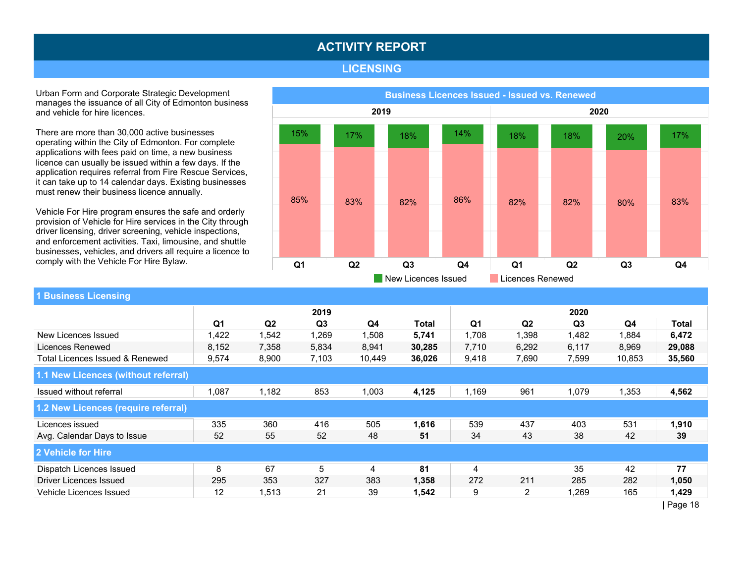#### LICENSING

Urban Form and Corporate Strategic Development manages the issuance of all City of Edmonton business and vehicle for hire licences.

There are more than 30,000 active businesses operating within the City of Edmonton. For complete applications with fees paid on time, a new business licence can usually be issued within a few days. If the application requires referral from Fire Rescue Services, it can take up to 14 calendar days. Existing businesses must renew their business licence annually.

Vehicle For Hire program ensures the safe and orderly provision of Vehicle for Hire services in the City through driver licensing, driver screening, vehicle inspections, and enforcement activities. Taxi, limousine, and shuttle businesses, vehicles, and drivers all require a licence to comply with the Vehicle For Hire Bylaw.

![](_page_17_Figure_5.jpeg)

## 1 Business Licensing

|                                     | 2019           |                |                |        |        | 2020           |                |                |        |                          |  |
|-------------------------------------|----------------|----------------|----------------|--------|--------|----------------|----------------|----------------|--------|--------------------------|--|
|                                     | Q <sub>1</sub> | Q <sub>2</sub> | Q <sub>3</sub> | Q4     | Total  | Q <sub>1</sub> | Q <sub>2</sub> | Q <sub>3</sub> | Q4     | <b>Total</b>             |  |
| New Licences Issued                 | 1,422          | 1,542          | 1,269          | ,508   | 5,741  | 1,708          | 1,398          | 1,482          | 1,884  | 6,472                    |  |
| Licences Renewed                    | 8,152          | 7,358          | 5,834          | 8,941  | 30,285 | 7,710          | 6,292          | 6,117          | 8,969  | 29,088                   |  |
| Total Licences Issued & Renewed     | 9,574          | 8,900          | 7,103          | 10,449 | 36,026 | 9,418          | 7,690          | 7,599          | 10,853 | 35,560                   |  |
| 1.1 New Licences (without referral) |                |                |                |        |        |                |                |                |        |                          |  |
| Issued without referral             | 1,087          | 1,182          | 853            | 1,003  | 4,125  | 1,169          | 961            | 1,079          | 1,353  | 4,562                    |  |
| 1.2 New Licences (require referral) |                |                |                |        |        |                |                |                |        |                          |  |
| Licences issued                     | 335            | 360            | 416            | 505    | 1,616  | 539            | 437            | 403            | 531    | 1,910                    |  |
| Avg. Calendar Days to Issue         | 52             | 55             | 52             | 48     | 51     | 34             | 43             | 38             | 42     | 39                       |  |
| 2 Vehicle for Hire                  |                |                |                |        |        |                |                |                |        |                          |  |
| Dispatch Licences Issued            | 8              | 67             | 5              | 4      | 81     | 4              |                | 35             | 42     | 77                       |  |
| Driver Licences Issued              | 295            | 353            | 327            | 383    | 1,358  | 272            | 211            | 285            | 282    | 1,050                    |  |
| Vehicle Licences Issued             | 12             | 1,513          | 21             | 39     | 1,542  | 9              | $\overline{2}$ | 1,269          | 165    | 1,429                    |  |
|                                     |                |                |                |        |        |                |                |                |        | $\overline{\phantom{a}}$ |  |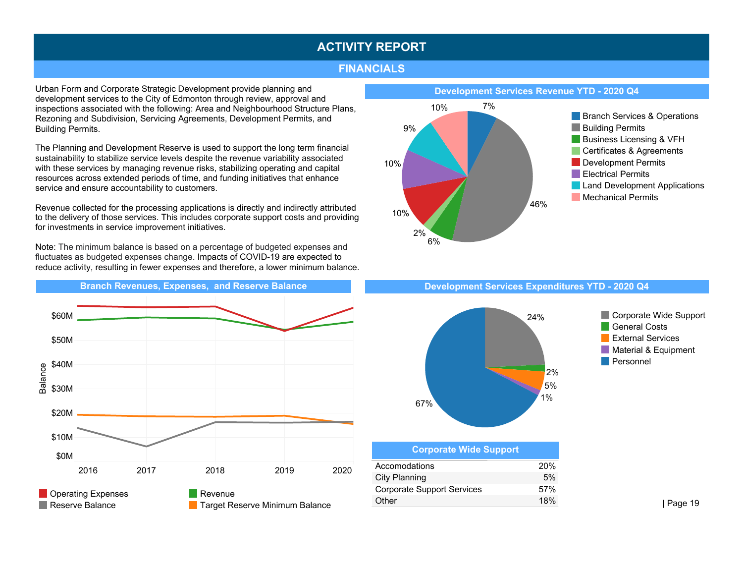#### FINANCIALS

Urban Form and Corporate Strategic Development provide planning and development services to the City of Edmonton through review, approval and inspections associated with the following: Area and Neighbourhood Structure Plans, Rezoning and Subdivision, Servicing Agreements, Development Permits, and Building Permits.

The Planning and Development Reserve is used to support the long term financial sustainability to stabilize service levels despite the revenue variability associated with these services by managing revenue risks, stabilizing operating and capital resources across extended periods of time, and funding initiatives that enhance service and ensure accountability to customers.

Revenue collected for the processing applications is directly and indirectly attributed to the delivery of those services. This includes corporate support costs and providing for investments in service improvement initiatives.

Note: The minimum balance is based on a percentage of budgeted expenses and fluctuates as budgeted expenses change. Impacts of COVID-19 are expected to reduce activity, resulting in fewer expenses and therefore, a lower minimum balance.

![](_page_18_Figure_6.jpeg)

![](_page_18_Figure_7.jpeg)

![](_page_18_Figure_9.jpeg)

![](_page_18_Figure_10.jpeg)